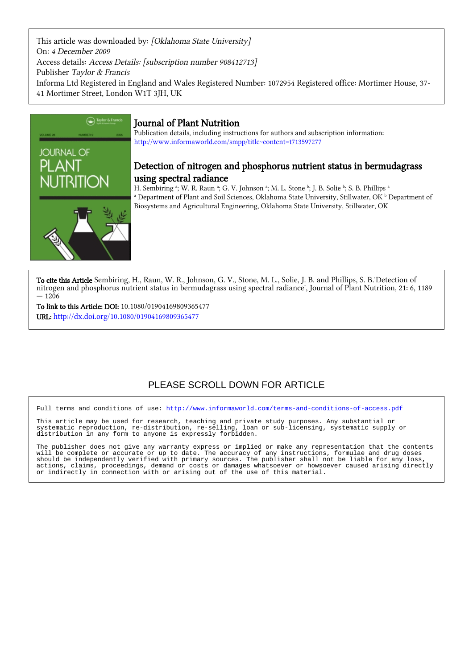This article was downloaded by: [Oklahoma State University] On: 4 December 2009 Access details: Access Details: [subscription number 908412713] Publisher Taylor & Francis Informa Ltd Registered in England and Wales Registered Number: 1072954 Registered office: Mortimer House, 37- 41 Mortimer Street, London W1T 3JH, UK



### Journal of Plant Nutrition

Publication details, including instructions for authors and subscription information: <http://www.informaworld.com/smpp/title~content=t713597277>

## Detection of nitrogen and phosphorus nutrient status in bermudagrass using spectral radiance

H. Sembiring ª; W. R. Raun ª; G. V. Johnson ª; M. L. Stone ʰ; J. B. Solie ʰ; S. B. Phillips ª  $^{\rm a}$  Department of Plant and Soil Sciences, Oklahoma State University, Stillwater, OK  $^{\rm b}$  Department of Biosystems and Agricultural Engineering, Oklahoma State University, Stillwater, OK

To cite this Article Sembiring, H., Raun, W. R., Johnson, G. V., Stone, M. L., Solie, J. B. and Phillips, S. B.'Detection of nitrogen and phosphorus nutrient status in bermudagrass using spectral radiance', Journal of Plant Nutrition, 21: 6, 1189  $-1206$ 

To link to this Article: DOI: 10.1080/01904169809365477 URL: <http://dx.doi.org/10.1080/01904169809365477>

## PLEASE SCROLL DOWN FOR ARTICLE

Full terms and conditions of use:<http://www.informaworld.com/terms-and-conditions-of-access.pdf>

This article may be used for research, teaching and private study purposes. Any substantial or systematic reproduction, re-distribution, re-selling, loan or sub-licensing, systematic supply or distribution in any form to anyone is expressly forbidden.

The publisher does not give any warranty express or implied or make any representation that the contents will be complete or accurate or up to date. The accuracy of any instructions, formulae and drug doses should be independently verified with primary sources. The publisher shall not be liable for any loss, actions, claims, proceedings, demand or costs or damages whatsoever or howsoever caused arising directly or indirectly in connection with or arising out of the use of this material.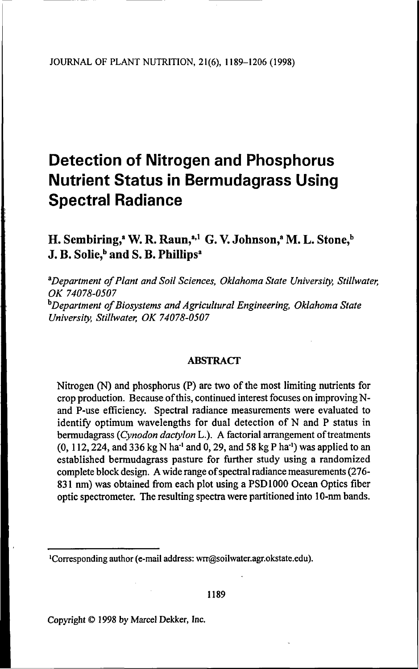# **Detection of Nitrogen and Phosphorus Nutrient Status in Bermudagrass Using Spectral Radiance**

## H. Sembiring,<sup>a</sup> W. R. Raun,<sup>a,1</sup> G. V. Johnson,<sup>a</sup> M. L. Stone,<sup>b</sup> J. B. Solie,<sup>b</sup> and S. B. Phillips<sup>a</sup>

<sup>a</sup>*Department of Plant and Soil Sciences, Oklahoma State University, Stillwater, OK 74078-0507* <sup>b</sup>*Department of Biosystems and Agricultural Engineering, Oklahoma State University, Stillwater, OK 74078-0507*

#### ABSTRACT

Nitrogen (N) and phosphorus (P) are two of the most limiting nutrients for crop production. Because of this, continued interest focuses on improving Nand P-use efficiency. Spectral radiance measurements were evaluated to identify optimum wavelengths for dual detection of N and P status in bermudagrass (*Cynodon dactylon* L.). A factorial arrangement of treatments  $(0, 112, 224,$  and 336 kg N ha<sup>-1</sup> and 0, 29, and 58 kg P ha<sup>-1</sup>) was applied to an established bermudagrass pasture for further study using a randomized complete block design. A wide range of spectral radiance measurements (276- 831 nm) was obtained from each plot using a PSD 1000 Ocean Optics fiber optic spectrometer. The resulting spectra were partitioned into 10-nm bands.

Copyright © 1998 by Marcel Dekker, Inc.

<sup>1</sup>Corresponding author (e-mail address: wrr@soilwater.agr.okstate.edu).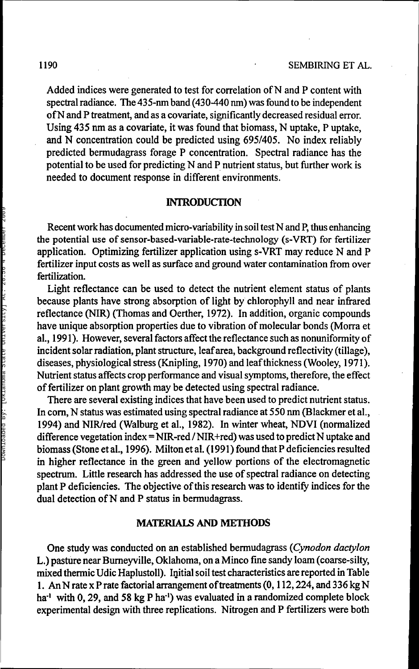Added indices were generated to test for correlation of N and P content with spectral radiance. The 435-nm band (430-440 nm) was found to be independent of N and P treatment, and as a covariate, significantly decreased residual error. Using 435 nm as a covariate, it was found that biomass, N uptake, P uptake, and N concentration could be predicted using 695/405. No index reliably predicted bermudagrass forage P concentration. Spectral radiance has the potential to be used for predicting N and P nutrient status, but further work is needed to document response in different environments.

#### **INTRODUCTION**

Recent work has documented micro-variability in soil test N and P, thus enhancing the potential use of sensor-based-variable-rate-technology (s-VRT) for fertilizer application. Optimizing fertilizer application using s-VRT may reduce N and P fertilizer input costs as well as surface and ground water contamination from over fertilization.

Light reflectance can be used to detect the nutrient element status of plants because plants have strong absorption of light by chlorophyll and near infrared reflectance (NIR) (Thomas and Oerther, 1972). In addition, organic compounds have unique absorption properties due to vibration of molecular bonds (Morra et al., 1991). However, several factors affect the reflectance such as nonuniformity of incident solar radiation, plant structure, leaf area, background reflectivity (tillage), diseases, physiological stress (Knipling, 1970) and leaf thickness (Wooley, 1971). Nutrient status affects crop performance and visual symptoms, therefore, the effect of fertilizer on plant growth may be detected using spectral radiance.

There are several existing indices that have been used to predict nutrient status. In corn, N status was estimated using spectral radiance at 550 nm (Blackmer et al., 1994) and NIR/red (Walburg et al., 1982). In winter wheat, NDVI (normalized difference vegetation index = NIR-red / NIR+red) was used to predict N uptake and biomass (Stone et al., 1996). Milton et al. (1991) found that P deficiencies resulted in higher reflectance in the green and yellow portions of the electromagnetic spectrum. Little research has addressed the use of spectral radiance on detecting plant P deficiencies. The objective of this research was to identify indices for the dual detection of N and P status in bermudagrass.

#### MATERIALS **AND** METHODS

One study was conducted on an established bermudagrass *(Cynodon dactylon* L.) pasture near Burneyville, Oklahoma, on a Minco fine sandy loam (coarse-silty, mixed thermic Udic Haplustoll). Initial soil test characteristics are reported in Table 1. An N rate x P rate factorial arrangement of treatments (0, 112, 224, and 336 kg N ha<sup>-1</sup> with 0, 29, and 58 kg P ha<sup>-1</sup>) was evaluated in a randomized complete block experimental design with three replications. Nitrogen and P fertilizers were both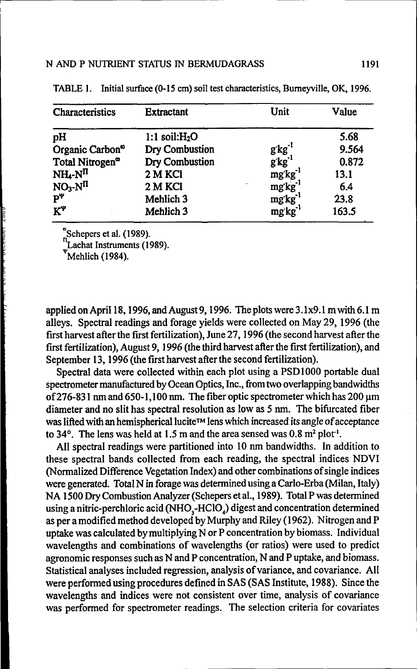| Characteristics             | <b>Extractant</b>    | Unit                   | Value |
|-----------------------------|----------------------|------------------------|-------|
| pH                          | 1:1 soil: $H2O$      |                        | 5.68  |
| Organic Carbon <sup>o</sup> | Dry Combustion       | $g$ $kg^{-1}$          | 9.564 |
| Total Nitrogen <sup>®</sup> | Dry Combustion       | $g$ $kg$ <sup>-1</sup> | 0.872 |
| $NH_4-NII$                  | 2 M KCl              | mg'kg'                 | 13.1  |
| $NO3 - N\Pi$                | 2 M KCI              | mg'kg <sup>-1</sup>    | 6.4   |
| $P^{\Psi}$                  | Mehlich 3            | $mgkg^{-1}$            | 23.8  |
| $K^{\Psi}$                  | Mehlich <sub>3</sub> | $mg$ $kg^{-1}$         | 163.5 |

TABLE 1. Initial surface (0-15 cm) soil test characteristics, Burneyville, OK, 1996.

Schepers et al. (1989).

m<br>Lachat Instruments (1989).

 $W$ Mehlich (1984).

applied on April 18, 1996, and August 9, 1996. The plots were 3.1x9.1 m with 6.1 m alleys. Spectral readings and forage yields were collected on May 29, 1996 (the first harvest after the first fertilization), June 27,1996 (the second harvest after the first fertilization), August 9,1996 (the third harvest after the first fertilization), and September 13, 1996 (the first harvest after the second fertilization).

Spectral data were collected within each plot using a PSD 1000 portable dual spectrometer manufactured by Ocean Optics, Inc., from two overlapping bandwidths of 276-831 nm and 650-1,100 nm. The fiber optic spectrometer which has 200  $\mu$ m diameter and no slit has spectral resolution as low as 5 nm. The bifurcated fiber was lifted with an hemispherical lucite™ lens which increased its angle of acceptance to 34°. The lens was held at 1.5 m and the area sensed was  $0.8 \text{ m}^2 \text{ plot}^1$ .

All spectral readings were partitioned into 10 nm bandwidths. In addition to these spectral bands collected from each reading, the spectral indices NDVI (Normalized Difference Vegetation Index) and other combinations of single indices were generated. Total N in forage was determined using a Carlo-Erba (Milan, Italy) NA1500DryCombustionAnalyzer(Schepersetal., 1989). Total P was determined using a nitric-perchloric acid (NHO<sub>3</sub>-HClO<sub>4</sub>) digest and concentration determined as per a modified method developed by Murphy and Riley (1962). Nitrogen and P uptake was calculated by multiplying N or P concentration by biomass. Individual wavelengths and combinations of wavelengths (or ratios) were used to predict agronomic responses such as N and P concentration, N and P uptake, and biomass. Statistical analyses included regression, analysis of variance, and covariance. All were performed using procedures defined in SAS(SAS Institute, 1988). Since the wavelengths and indices were not consistent over time, analysis of covariance was performed for spectrometer readings. The selection criteria for covariates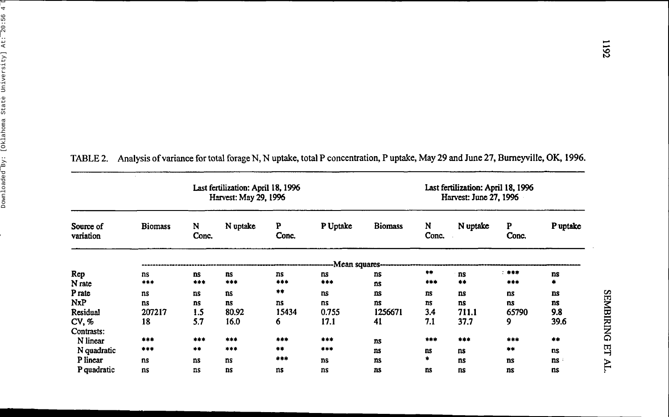|                        |                | Last fertilization: April 18, 1996<br>Harvest: May 29, 1996 |          | Last fertilization: April 18, 1996<br>Harvest: June 27, 1996 |                 |                |            |           |            |           |
|------------------------|----------------|-------------------------------------------------------------|----------|--------------------------------------------------------------|-----------------|----------------|------------|-----------|------------|-----------|
| Source of<br>variation | <b>Biomass</b> | N<br>Conc.                                                  | N uptake | P<br>Conc.                                                   | P Uptake        | <b>Biomass</b> | N<br>Conc. | N uptake  | P<br>Conc. | P uptake  |
|                        |                |                                                             |          |                                                              | -Mean squares-- |                |            |           |            |           |
| Rep                    | ns             | <b>ns</b>                                                   | ns       | <b>ns</b>                                                    | ns              | <b>ns</b>      | $***$      | ns        | 1.444      | ns        |
| N <sub>rate</sub>      | ***            | ***                                                         | ***      | ***                                                          | ***             | ns             | ***        | **        | ***        | ۰         |
| P rate                 | ns             | $ns$                                                        | ns       | 清幸                                                           | ns              | ns             | ns         | ns        | ns         | <b>ns</b> |
| NxP                    | ns             | ns                                                          | ns.      | ns                                                           | ns              | ns             | <b>ns</b>  | <b>ns</b> | ns         | ns        |
| Residual               | 207217         | 1.5                                                         | 80.92    | 15434                                                        | 0.755           | 1256671        | 3.4        | 711.1     | 65790      | 9.8       |
| CV. %                  | 18             | 5.7                                                         | 16.0     | 6                                                            | 17.1            | 41             | 7.1        | 37.7      | 9          | 39.6      |
| Contrasts:             |                |                                                             |          |                                                              |                 |                |            |           |            |           |
| N linear               | $***$          | ***                                                         | ***      | ***                                                          | ***             | <b>ns</b>      | $***$      | ***       | ***        | $***$     |
| N quadratic            | ***            | $+ +$                                                       | $***$    | $***$                                                        | $***$           | ns             | ns         | ns        | $***$      | ns        |
| P linear               | ns             | ns                                                          | ns       | ***                                                          | <b>ns</b>       | ns             | $\bullet$  | ns        | <b>ns</b>  | ns        |
| P quadratic            | ns             | ns                                                          | ns       | ns                                                           | ns              | ns             | ns         | ns        | ns         | ns        |

|  | TABLE 2. Analysis of variance for total forage N, N uptake, total P concentration, P uptake, May 29 and June 27, Burneyville, OK, 1996. |
|--|-----------------------------------------------------------------------------------------------------------------------------------------|
|  |                                                                                                                                         |

 $\cdot$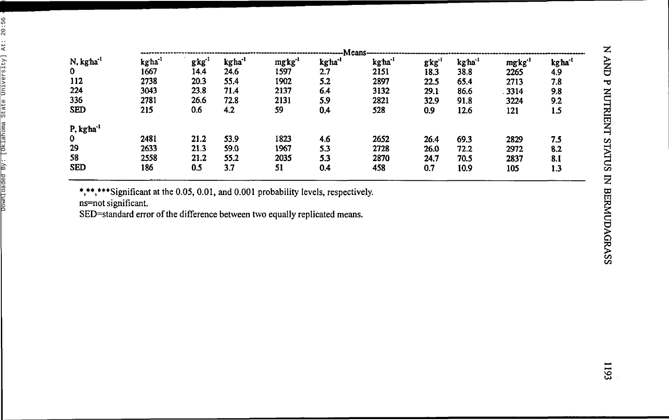|                       |                    |      |                    |                    | ----Means          |                    |                   |        |                    |         |
|-----------------------|--------------------|------|--------------------|--------------------|--------------------|--------------------|-------------------|--------|--------------------|---------|
| N, kgha <sup>-1</sup> | kgha <sup>-1</sup> | gkg' | kgha <sup>-1</sup> | mgkg <sup>-1</sup> | kgha <sup>-1</sup> | kgha <sup>-1</sup> | gkg <sup>-1</sup> | kg'ha' | mgkg <sup>-1</sup> | kg'ha'' |
| $\bf{0}$              | 1667               | 14.4 | 24.6               | 1597               | 2.7                | 2151               | 18.3              | 38.8   | 2265               | 4.9     |
| 112                   | 2738               | 20.3 | 55.4               | 1902               | 5.2                | 2897               | 22.5              | 65.4   | 2713               | 7.8     |
| 224                   | 3043               | 23.8 | 71.4               | 2137               | 6.4                | 3132               | 29.1              | 86.6   | 3314               | 9.8     |
| 336                   | 2781               | 26.6 | 72.8               | 2131               | 5.9                | 2821               | 32.9              | 91.8   | 3224               | 9.2     |
| <b>SED</b>            | 215                | 0.6  | 4.2                | 59                 | 0.4                | 528                | 0.9               | 12.6   | 121                | 1.5     |
| P, kgha'              |                    |      |                    |                    |                    |                    |                   |        |                    |         |
| $\mathbf 0$           | 2481               | 21.2 | 53.9               | 1823               | 4.6                | 2652               | 26.4              | 69.3   | 2829               | 7.5     |
| 29                    | 2633               | 21.3 | 59.0               | 1967               | 5.3                | 2728               | 26.0              | 72.2   | 2972               | 8.2     |
| 58                    | 2558               | 21.2 | 55.2               | 2035               | 5.3                | 2870               | 24.7              | 70.5   | 2837               | 8.1     |
| <b>SED</b>            | 186                | 0.5  | 3.7                | 51                 | 0.4                | 458                | 0.7               | 10.9   | 105                | 1.3     |

\*,\*\*,\*\*\*Significant at the 0.05, 0.01, and 0.001 probability levels, respectively.

ns=no t significant .

SED=standar d erro r o f th e differenc e betwee n tw o equall y replicate d means .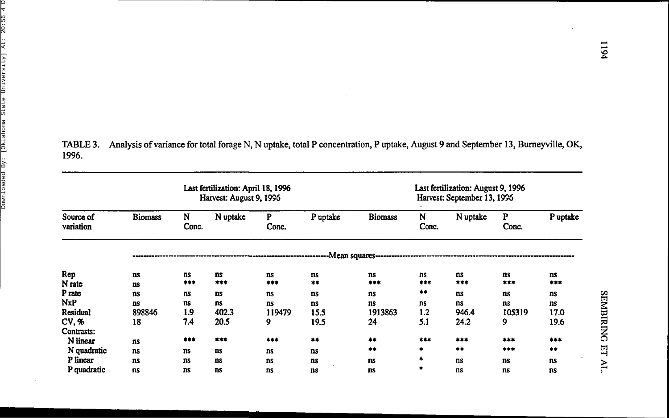TABLE 3. Analysis of variance for total forage N, N uptake, total P concentration, P uptake, August 9 and September 13, Bumeyville, OK, 1996.

|                        |                 | Last fertilization: April 18, 1996<br>Harvest: August 9, 1996 |           |            | Last fertilization: August 9, 1996<br>Harvest: September 13, 1996 |                                           |            |           |            |           |
|------------------------|-----------------|---------------------------------------------------------------|-----------|------------|-------------------------------------------------------------------|-------------------------------------------|------------|-----------|------------|-----------|
| Source of<br>variation | <b>Biomass</b>  | N<br>Conc.                                                    | N uptake  | P<br>Conc. | P uptake                                                          | <b>Biomass</b>                            | N<br>Conc. | N uptake  | P<br>Conc. | P uptake  |
|                        |                 |                                                               |           |            |                                                                   | -Mean squares---------------------------- |            |           |            |           |
| Rep<br>N rate          | <b>ns</b><br>ns | ns<br>***                                                     | ns<br>*** | ns<br>***  | ns<br>$***$                                                       | ns<br>***                                 | ns<br>***  | ns<br>*** | ns<br>***  | ns<br>*** |
| P rate                 | ns              | ns                                                            | <b>ns</b> | ns.        | ns                                                                | ns                                        | **         | ns        | ns         | ns        |
| <b>NxP</b>             | ns              | ns                                                            | ns        | ns         | ns                                                                | ns                                        | ns         | ns        | ns         | ns        |
| <b>Residual</b>        | 898846          | 1.9                                                           | 402.3     | 119479     | 15.5                                                              | 1913863                                   | 1.2        | 946.4     | 105319     | 17.0      |
| CV. %                  | 18              | 7.4                                                           | 20.5      | 9          | 19.5                                                              | 24                                        | 5.1        | 24.2      | 9          | 19.6      |
| Contrasts:             |                 |                                                               |           |            |                                                                   |                                           |            |           |            |           |
| N linear               | ns.             | ***                                                           | ***       | ***        | **                                                                | #  #                                      | ***        | ***       | ***        | ***       |
| N quadratic            | ns              | ns                                                            | ns        | ns         | ns                                                                | **                                        | $\bullet$  | $***$     | ***        | 宗孝        |
| P linear               | ns              | ns                                                            | ns        | ns         | ns                                                                | ns                                        | ۰          | ns        | ns.        | ns        |
| P quadratic            | ns              | <b>ns</b>                                                     | ns        | ns         | ns                                                                | <b>ns</b>                                 | ۰          | ns        | ns         | ns        |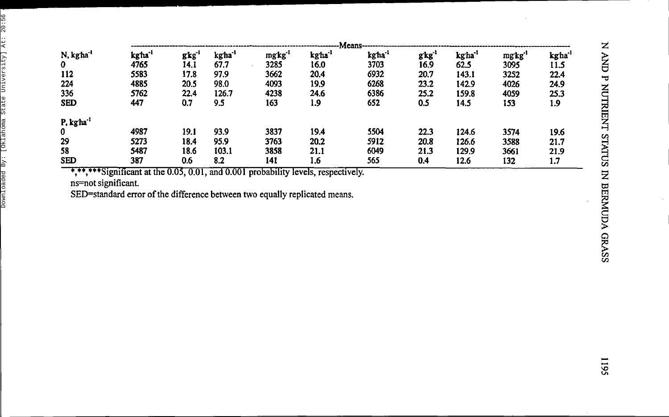|                       |                     |       |                    |                    |                    | -Means |      |                    |                    |                   |
|-----------------------|---------------------|-------|--------------------|--------------------|--------------------|--------|------|--------------------|--------------------|-------------------|
| N, kgha <sup>-1</sup> | kg ha <sup>-1</sup> | gkg'  | kgha <sup>-1</sup> | mgkg <sup>-1</sup> | kgha <sup>-1</sup> | kg ha' | gkg' | kgha <sup>-1</sup> | mgkg <sup>-1</sup> | kgha <sup>-</sup> |
| $\boldsymbol{0}$      | 4765                | 14. I | 67.7               | 3285               | 16.0               | 3703   | 16.9 | 62.5               | 3095               | 11.5              |
| 112                   | 5583                | 17.8  | 97.9               | 3662               | 20.4               | 6932   | 20.7 | 143.1              | 3252               | 22.4              |
| 224                   | 4885                | 20.5  | 98.0               | 4093               | 19.9               | 6268   | 23.2 | 142.9              | 4026               | 24.9              |
| 336                   | 5762                | 22.4  | 126.7              | 4238               | 24.6               | 6386   | 25.2 | 159.8              | 4059               | 25.3              |
| <b>SED</b>            | 447                 | 0.7   | 9.5                | 163                | 1.9                | 652    | 0.5  | 14.5               | 153                | 1.9               |
| P, kgha <sup>-1</sup> |                     |       |                    |                    |                    |        |      |                    |                    |                   |
| 0                     | 4987                | 19.1  | 93.9               | 3837               | 19.4               | 5504   | 22.3 | 124.6              | 3574               | 19.6              |
| 29                    | 5273                | 18.4  | 95.9               | 3763               | 20.2               | 5912   | 20.8 | 126.6              | 3588               | 21.7              |
| 58                    | 5487                | 18.6  | 103.1              | 3858               | 21.1               | 6049   | 21.3 | 129.9              | 3661               | 21.9              |
| <b>SED</b>            | 387                 | 0.6   | 8.2                | 141                | 1.6                | 565    | 0.4  | 12.6               | 132                | 1.7               |

**W\*\*Significant at the 0.05,0.01, and 0.001 probability levels, respectively.**

**ns=not significant.**

**SED=standard error of the difference between two equally replicated means.**

1195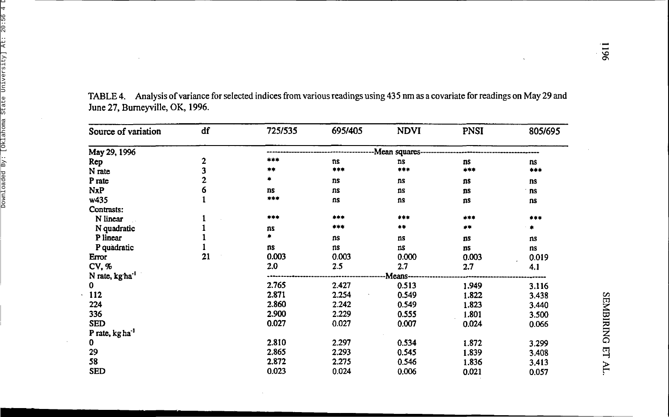| Source of variation         | df | 725/535 | 695/405 | <b>NDVI</b>              | <b>PNSI</b> | 805/695 |
|-----------------------------|----|---------|---------|--------------------------|-------------|---------|
| May 29, 1996                |    |         |         | -Mean squares----------- |             |         |
| Rep                         | 2  | ***     | ns      | <b>ns</b>                | ns          | ns      |
| N rate                      | 3  | **      | ***     | ***                      | ***         | ***     |
| P rate                      | 2  | *       | ns      | ns                       | ns          | ns      |
| <b>NxP</b>                  | 6  | ns      | ns      | ns                       | ns          | ns      |
| w435                        |    | ***     | ns      | ns                       | ns          | ns      |
| Contrasts:                  |    |         |         |                          |             |         |
| N linear                    |    | ***     | ***     | $***$                    | ***         | ***     |
| N quadratic                 |    | ns      | ***     | $+ +$                    | **          |         |
| P linear                    |    |         | ns      | ns                       | ns          | ns      |
| P quadratic                 |    | ns      | ns      | ns                       | ns          | ns      |
| Error                       | 21 | 0.003   | 0.003   | 0.000                    | 0.003       | 0.019   |
| CV, %                       |    | 2.0     | 2.5     | 2.7                      | 2.7         | 4.1     |
| N rate, kg ha <sup>-1</sup> |    |         |         | Means-                   |             |         |
| 0                           |    | 2.765   | 2.427   | 0.513                    | 1.949       | 3.116   |
| 112                         |    | 2.871   | 2.254   | 0.549                    | 1.822       | 3.438   |
| 224                         |    | 2.860   | 2.242   | 0.549                    | 1.823       | 3.440   |
| 336                         |    | 2.900   | 2.229   | 0.555                    | 1.801       | 3.500   |
| <b>SED</b>                  |    | 0.027   | 0.027   | 0.007                    | 0.024       | 0.066   |
| P rate, kg ha <sup>-1</sup> |    |         |         |                          |             |         |
| 0                           |    | 2.810   | 2.297   | 0.534                    | 1.872       | 3.299   |
| 29                          |    | 2.865   | 2.293   | 0.545                    | 1.839       | 3.408   |
| 58                          |    | 2.872   | 2.275   | 0.546                    | 1.836       | 3.413   |
| <b>SED</b>                  |    | 0.023   | 0.024   | 0.006                    | 0.021       | 0.057   |

TABLE 4. Analysis of variance for selected indices from various readings using 435 nm as a covariate for readings on May 29 and June 27, Burneyville, OK, 1996.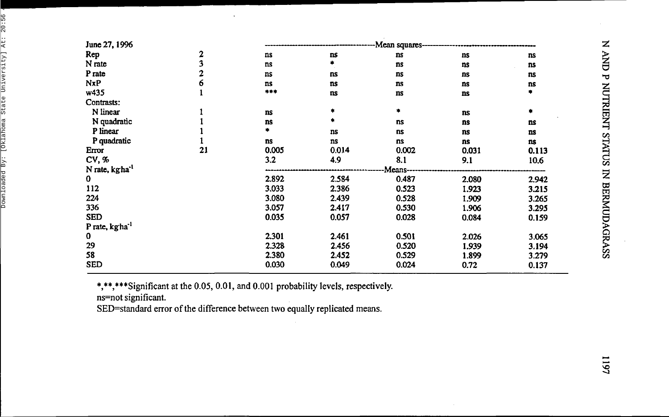| June 27, 1996              |    |           |       | -Mean squares--- |           |       |
|----------------------------|----|-----------|-------|------------------|-----------|-------|
| Rep                        | 2  | ns        | ns    | ns               | ns        | ns    |
| N rate                     | 3  | ns        | ٠     | ns               | ns        | ns    |
| P rate                     | 2  | ns        | ns    | ns               | ns        | ns    |
| <b>NxP</b>                 | 6  | <b>ns</b> | ns    | ns               | ns        | ns    |
| w435                       |    | ***       | ns    | ns               | ns        |       |
| Contrasts:                 |    |           |       |                  |           |       |
| N linear                   |    | ns        |       | ۰                | <b>ns</b> |       |
| N quadratic                |    | ns        |       | ns               | ns        | ns    |
| P linear                   |    | ٠         | ns    | ns               | ns        | ns    |
| P quadratic                |    | ns        | ns    | ns               | ns        | ns    |
| Error                      | 21 | 0.005     | 0.014 | 0.002            | 0.031     | 0.113 |
| CV, %                      |    | 3.2       | 4.9   | 8.1              | 9.1       | 10.6  |
| N rate, kgha <sup>-1</sup> |    |           |       | Means-           |           |       |
| $\bf{0}$                   |    | 2.892     | 2.584 | 0.487            | 2.080     | 2.942 |
| 112                        |    | 3.033     | 2.386 | 0.523            | 1.923     | 3.215 |
| 224                        |    | 3.080     | 2.439 | 0.528            | 1.909     | 3.265 |
| 336                        |    | 3.057     | 2.417 | 0.530            | 1.906     | 3.295 |
| <b>SED</b>                 |    | 0.035     | 0.057 | 0.028            | 0.084     | 0.159 |
| P rate, kgha <sup>-1</sup> |    |           |       |                  |           |       |
| $\mathbf 0$                |    | 2.301     | 2.461 | 0.501            | 2.026     | 3.065 |
| 29                         |    | 2.328     | 2.456 | 0.520            | 1.939     | 3.194 |
| 58                         |    | 2.380     | 2.452 | 0.529            | 1.899     | 3.279 |
| <b>SED</b>                 |    | 0.030     | 0.049 | 0.024            | 0.72      | 0.137 |

\*,\*\*,\*\*\*Significant at the 0.05, 0.01, and 0.001 probability levels, respectively.

ns=no t significant .

SED=standar d erro r o f th e differenc e betwee n tw o equall y replicate d means .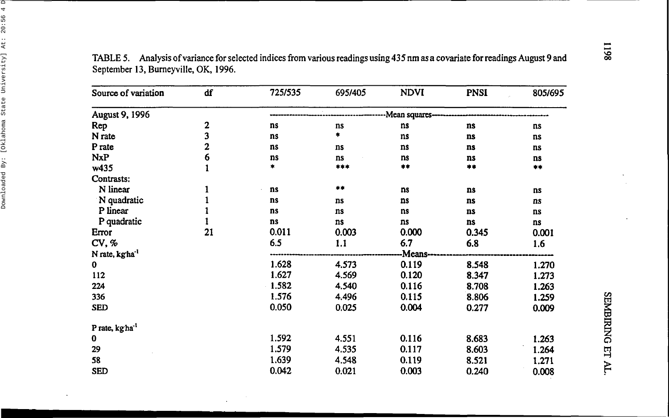| Source of variation         | df     | 725/535   | 695/405 | <b>NDVI</b>   | <b>PNSI</b> | 805/695 |
|-----------------------------|--------|-----------|---------|---------------|-------------|---------|
| August 9, 1996              |        |           |         | Mean squares- |             |         |
| Rep                         |        | ns        | ns      | ns            | ns          | ns      |
| N rate                      | 2<br>3 | ns        | *       | ns            | ns          | ns      |
| P rate                      | 2      | ns        | ns      | ns            | ns          | ns      |
| <b>NxP</b>                  | 6      | ns        | ns      | ns            | ns          | ns      |
| w435                        |        | *         | $***$   | **            | **          | $***$   |
| Contrasts:                  |        |           |         |               |             |         |
| N linear                    |        | ns        | **      | ns            | ns          | ns      |
| N quadratic                 |        | ns        | ns      | ns            | ns          | ns      |
| P linear                    |        | ns        | $ns$    | ns            | ns          | ns      |
| P quadratic                 |        | <b>ns</b> | ns      | ns            | ns          | ns      |
| Error                       | 21     | 0.011     | 0.003   | 0.000         | 0.345       | 0.001   |
| CV, %                       |        | 6.5       | 1.1     | 6.7           | 6.8         | 1.6     |
| N rate, kgha <sup>-1</sup>  |        |           |         | Means--       |             |         |
| $\bf{0}$                    |        | 1.628     | 4.573   | 0.119         | 8.548       | 1.270   |
| 112                         |        | 1.627     | 4.569   | 0.120         | 8.347       | 1.273   |
| 224                         |        | 1.582     | 4.540   | 0.116         | 8.708       | 1.263   |
| 336                         |        | 1.576     | 4.496   | 0.115         | 8.806       | 1.259   |
| <b>SED</b>                  |        | 0.050     | 0.025   | 0.004         | 0.277       | 0.009   |
| P rate, kg ha <sup>-1</sup> |        |           |         |               |             |         |
| 0                           |        | 1.592     | 4.551   | 0.116         | 8.683       | 1.263   |
| 29                          |        | 1.579     | 4.535   | 0.117         | 8.603       | 1.264   |
| 58                          |        | 1.639     | 4.548   | 0.119         | 8.521       | 1.271   |
| <b>SED</b>                  |        | 0.042     | 0.021   | 0.003         | 0.240       | 0.008   |

 $\ddot{\phantom{a}}$ 

TABLE 5. Analysis of variance for selected indices from various readings using 435 nm as a covariate for readings August 9 and September 13, Burneyville, OK, 1996.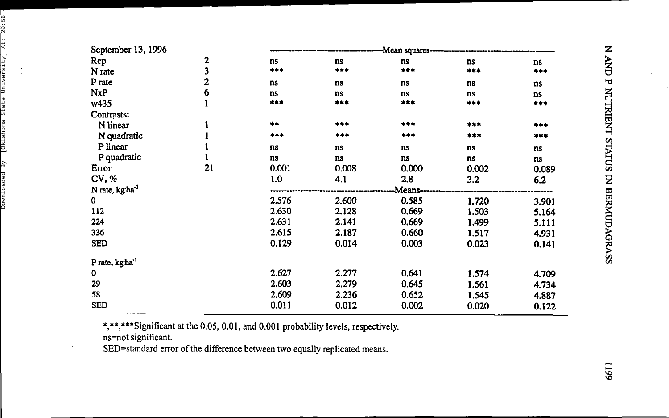| September 13, 1996          |                |       |       | -Mean squares---- |       |       |
|-----------------------------|----------------|-------|-------|-------------------|-------|-------|
| Rep                         | 2              | ns    | ns    | ns                | ns    | ns    |
| N rate                      | 3              | ***   | ***   | ***               | ***   | ***   |
| P rate                      | $\overline{2}$ | ns    | ns    | ns                | ns    | ns    |
| <b>NxP</b>                  | 6              | ns    | ns    | ns                | ns    | ns    |
| w435                        | $\mathbf{1}$   | ***   | ***   | ***               | ***   | ***   |
| Contrasts:                  |                |       |       |                   |       |       |
| N linear                    | 1              | $+ +$ | ***   | ***               | ***   | ***   |
| N quadratic                 |                | ***   | ***   | ***               | ***   | ***   |
| P linear                    |                | ns    | ns    | ns                | ns    | ns    |
| P quadratic                 |                | ns    | ns    | ns                | ns    | ns    |
| Error                       | 21             | 0.001 | 0.008 | 0.000             | 0.002 | 0.089 |
| CV, %                       |                | 1.0   | 4.1   | 2.8               | 3.2   | 6.2   |
| N rate, kgha <sup>-1</sup>  |                |       |       | Means-            |       |       |
| $\mathbf 0$                 |                | 2.576 | 2.600 | 0.585             | 1.720 | 3.901 |
| 112                         |                | 2.630 | 2.128 | 0.669             | 1.503 | 5.164 |
| 224                         |                | 2.631 | 2.141 | 0.669             | 1.499 | 5.111 |
| 336                         |                | 2.615 | 2.187 | 0.660             | 1.517 | 4.931 |
| <b>SED</b>                  |                | 0.129 | 0.014 | 0.003             | 0.023 | 0.141 |
| P rate, kg ha <sup>-1</sup> |                |       |       |                   |       |       |
| 0                           |                | 2.627 | 2.277 | 0.641             | 1.574 | 4.709 |
| 29                          |                | 2.603 | 2.279 | 0.645             | 1.561 | 4.734 |
| 58                          |                | 2.609 | 2.236 | 0.652             | 1.545 | 4.887 |
| <b>SED</b>                  |                | 0.011 | 0.012 | 0.002             | 0.020 | 0.122 |

\*,\*\*,\*\*\*Significant at the 0.05, 0.01, and 0.001 probability levels, respectively. ns=not significant.

SED=standard error of the difference between two equally replicated means.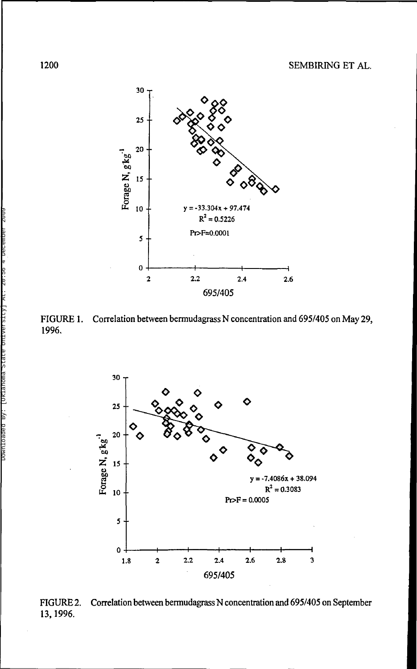

FIGURE 1. Correlation between bermudagrass N concentration and 695/405 on May 29, 1996.



FIGURE 2. Correlation between bermudagrass N concentration and 695/405 on September 13, 1996.

1200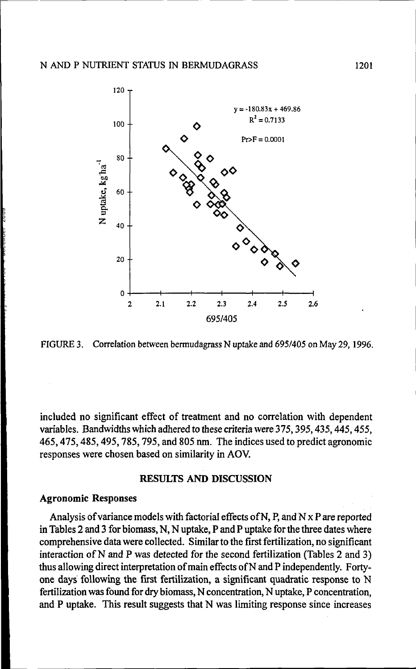

FIGURE 3. Correlation between bermudagrass N uptake and 695/405 on May 29,1996.

included no significant effect of treatment and no correlation with dependent variables. Bandwidths which adhered to these criteria were 375,395,435,445,455, 465,475,485,495,785,795, and 805 nm. The indices used to predict agronomic responses were chosen based on similarity in AOV.

#### **RESULTS AND DISCUSSION**

#### **Agronomic Responses**

Analysis of variance models with factorial effects of N, P, and N x P are reported in Tables 2 and 3 for biomass, N, N uptake, P and P uptake for the three dates where comprehensive data were collected. Similar to the first fertilization, no significant interaction of N and P was detected for the second fertilization (Tables 2 and 3) thus allowing direct interpretation of main effects of N and P independently. Fortyone days following the first fertilization, a significant quadratic response to N fertilization was found for dry biomass, N concentration, N uptake, P concentration, and P uptake. This result suggests that N was limiting response since increases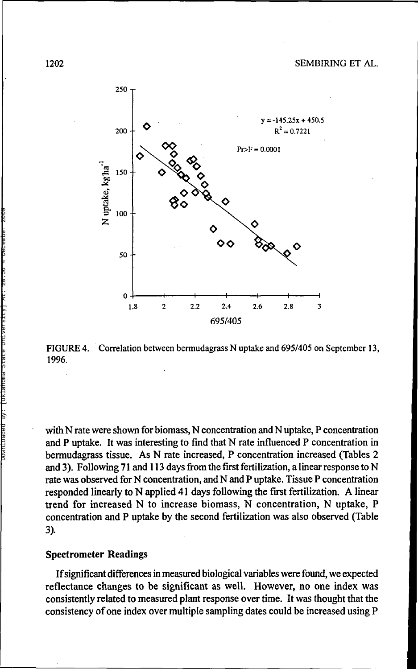

FIGURE 4. Correlation between bermudagrass N uptake and 695/405 on September 13, 1996.

with N rate were shown for biomass, N concentration and N uptake, P concentration and P uptake. It was interesting to find that N rate influenced P concentration in bermudagrass tissue. As N rate increased, P concentration increased (Tables 2 and 3). Following 71 and 113 days from the first fertilization, a linear response to N rate was observed for N concentration, and N and P uptake. Tissue P concentration responded linearly to N applied 41 days following the first fertilization. A linear trend for increased N to increase biomass, N concentration, N uptake, P concentration and P uptake by the second fertilization was also observed (Table 3).

#### **Spectrometer Readings**

If significant differences in measured biological variables were found, we expected reflectance changes to be significant as well. However, no one index was consistently related to measured plant response over time. It was thought that the consistency of one index over multiple sampling dates could be increased using P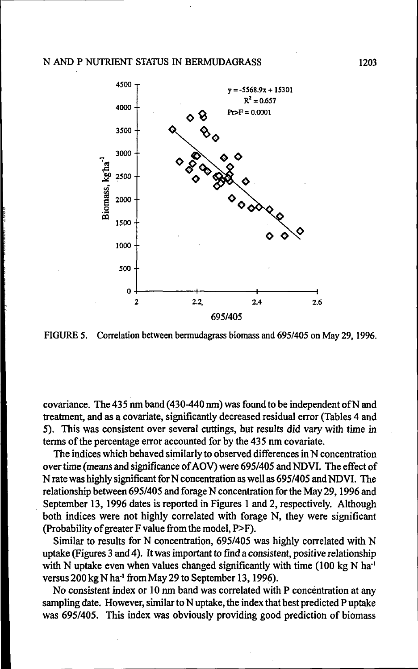

FIGURE 5. Correlation between bermudagrass biomass and 695/405 on May 29,1996.

covariance. The 435 nm band (430-440 nm) was found to be independent ofN and treatment, and as a covariate, significantly decreased residual error (Tables 4 and 5). This was consistent over several cuttings, but results did vary with time in terms of the percentage error accounted for by the 435 nm covariate.

The indices which behaved similarly to observed differences in N concentration over time (means and significance of AOV) were 695/405 and NDVI. The effect of N rate was highly significant for N concentration as well as 695/405 and NDVI. The relationship between 695/405 and forage N concentration for the May 29,1996 and September 13, 1996 dates is reported in Figures 1 and 2, respectively. Although both indices were not highly correlated with forage N, they were significant (Probability of greater F value from the model, P>F).

Similar to results for N concentration, 695/405 was highly correlated with N uptake (Figures 3 and 4). It was important to find a consistent, positive relationship with N uptake even when values changed significantly with time (100 kg N  $ha<sup>-1</sup>$ versus 200 kg N ha<sup>-1</sup> from May 29 to September 13, 1996).

No consistent index or 10 nm band was correlated with P concentration at any sampling date. However, similar to N uptake, the index that best predicted P uptake was 695/405. This index was obviously providing good prediction of biomass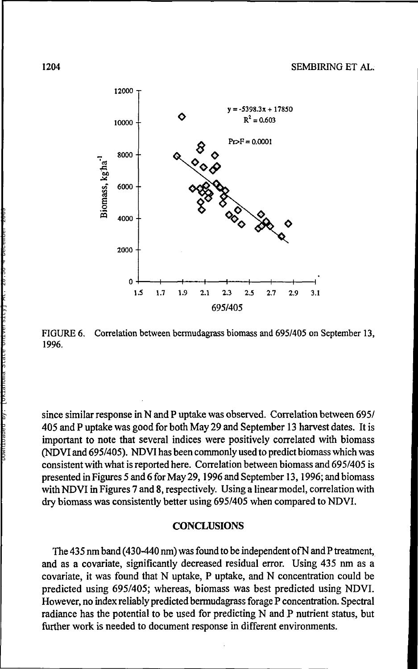#### 1204 SEMBIRING ET AL.



FIGURE 6. Correlation between bermudagrass biomass and 695/405 on September 13, 1996.

since similar response in N and P uptake was observed. Correlation between 695/ 405 and P uptake was good for both May 29 and September 13 harvest dates. It is important to note that several indices were positively correlated with biomass (NDVI and 695/405). NDVI has been commonly used to predict biomass which was consistent with what is reported here. Correlation between biomass and 695/405 is presented in Figures 5 and 6 for May 29,1996 and September 13,1996; and biomass with NDVI in Figures 7 and 8, respectively. Using a linear model, correlation with dry biomass was consistently better using 695/405 when compared to NDVI.

#### **CONCLUSIONS**

The 435 nm band (430-440 nm) was found to be independent ofN and P treatment, and as a covariate, significantly decreased residual error. Using 435 nm as a covariate, it was found that N uptake, P uptake, and N concentration could be predicted using 695/405; whereas, biomass was best predicted using NDVI. However, no index reliably predicted bermudagrass forage P concentration. Spectral radiance has the potential to be used for predicting N and P nutrient status, but further work is needed to document response in different environments.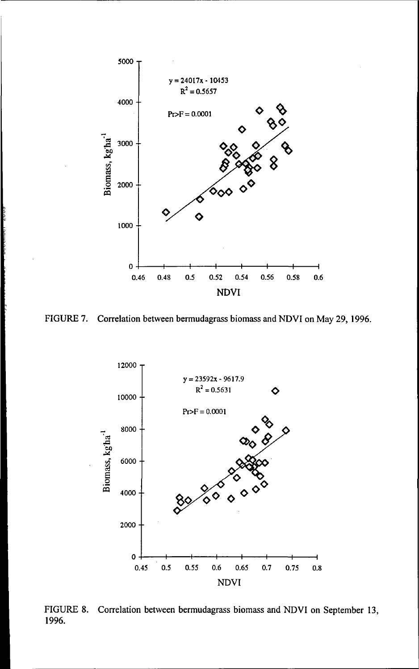

FIGURE 7. Correlation between bermudagrass biomass and NDVI on May 29, 1996.



FIGURE 8. Correlation between bermudagrass biomass and NDVI on September 13, 1996. PIGL<br>1996. Downloaded By: 20:56<br>1996. Power 2009.